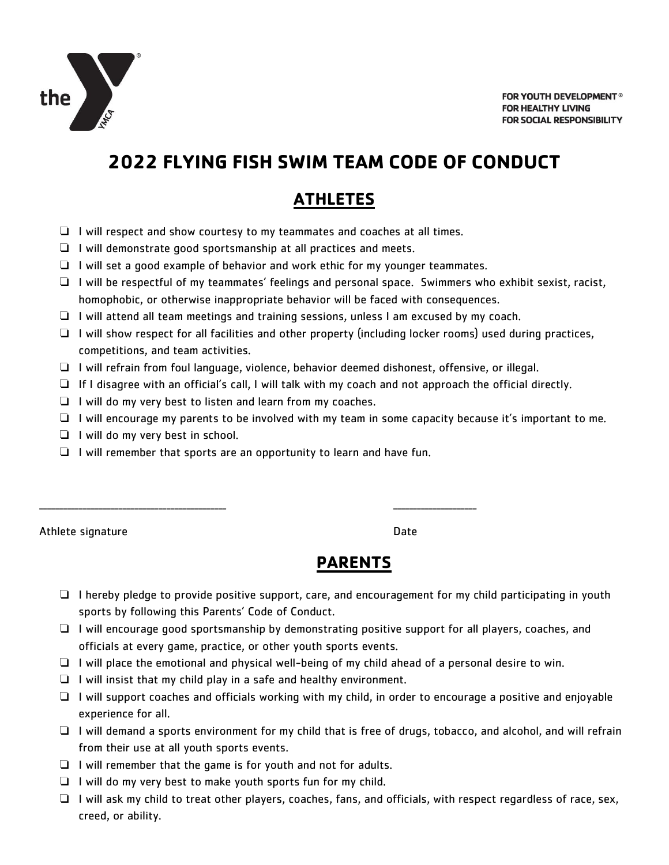

FOR YOUTH DEVELOPMENT<sup>®</sup> **FOR HEALTHY LIVING** FOR SOCIAL RESPONSIBILITY

# **2022 FLYING FISH SWIM TEAM CODE OF CONDUCT**

## **ATHLETES**

- ❏ I will respect and show courtesy to my teammates and coaches at all times.
- ❏ I will demonstrate good sportsmanship at all practices and meets.
- ❏ I will set a good example of behavior and work ethic for my younger teammates.
- ❏ I will be respectful of my teammates' feelings and personal space. Swimmers who exhibit sexist, racist, homophobic, or otherwise inappropriate behavior will be faced with consequences.
- ❏ I will attend all team meetings and training sessions, unless I am excused by my coach.
- ❏ I will show respect for all facilities and other property (including locker rooms) used during practices, competitions, and team activities.
- ❏ I will refrain from foul language, violence, behavior deemed dishonest, offensive, or illegal.
- ❏ If I disagree with an official's call, I will talk with my coach and not approach the official directly.
- ❏ I will do my very best to listen and learn from my coaches.
- ❏ I will encourage my parents to be involved with my team in some capacity because it's important to me.
- ❏ I will do my very best in school.
- ❏ I will remember that sports are an opportunity to learn and have fun.

\_\_\_\_\_\_\_\_\_\_\_\_\_\_\_\_\_\_\_\_\_\_\_\_\_\_\_\_\_\_\_\_\_\_\_\_\_\_\_\_\_\_\_\_\_\_\_ \_\_\_\_\_\_\_\_\_\_\_\_\_\_\_\_\_\_\_\_\_

Athlete signature Date Date Date Date Date

#### **PARENTS**

- ❏ I hereby pledge to provide positive support, care, and encouragement for my child participating in youth sports by following this Parents' Code of Conduct.
- ❏ I will encourage good sportsmanship by demonstrating positive support for all players, coaches, and officials at every game, practice, or other youth sports events.
- ❏ I will place the emotional and physical well-being of my child ahead of a personal desire to win.
- $\Box$  I will insist that my child play in a safe and healthy environment.
- ❏ I will support coaches and officials working with my child, in order to encourage a positive and enjoyable experience for all.
- ❏ I will demand a sports environment for my child that is free of drugs, tobacco, and alcohol, and will refrain from their use at all youth sports events.
- ❏ I will remember that the game is for youth and not for adults.
- ❏ I will do my very best to make youth sports fun for my child.
- ❏ I will ask my child to treat other players, coaches, fans, and officials, with respect regardless of race, sex, creed, or ability.